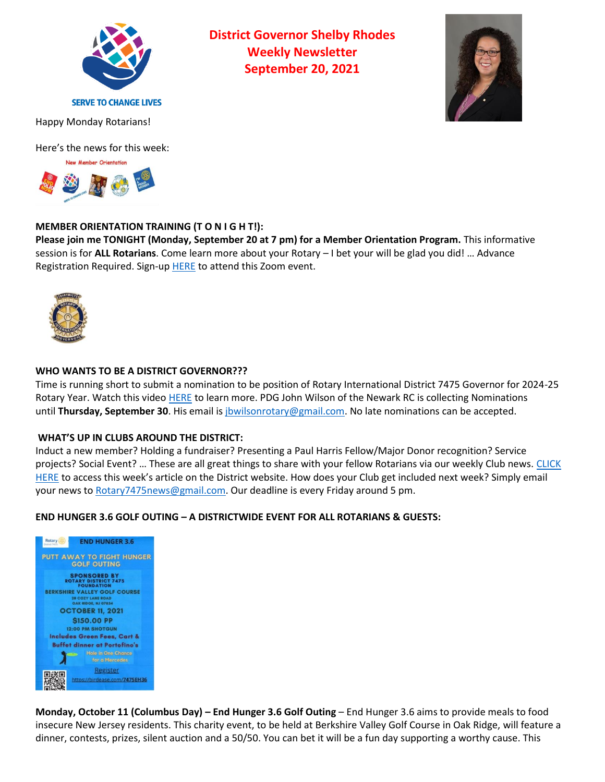

**District Governor Shelby Rhodes Weekly Newsletter September 20, 2021**



Happy Monday Rotarians!

Here's the news for this week:



# **MEMBER ORIENTATION TRAINING (T O N I G H T!):**

**Please join me TONIGHT (Monday, September 20 at 7 pm) for a Member Orientation Program.** This informative session is for **ALL Rotarians**. Come learn more about your Rotary – I bet your will be glad you did! … Advance Registration Required. Sign-up [HERE](https://us02web.zoom.us/meeting/register/tZwuf-CsqTwvG9HsQHf6QA9aDVYZr5pvpZ07) to attend this Zoom event.



# **WHO WANTS TO BE A DISTRICT GOVERNOR???**

Time is running short to submit a nomination to be position of Rotary International District 7475 Governor for 2024-25 Rotary Year. Watch this video [HERE](https://youtu.be/3CpvrOTxilw) to learn more. PDG John Wilson of the Newark RC is collecting Nominations until Thursday, September 30. His email is [jbwilsonrotary@gmail.com.](mailto:jbwilsonrotary@gmail.com) No late nominations can be accepted.

#### **WHAT'S UP IN CLUBS AROUND THE DISTRICT:**

Induct a new member? Holding a fundraiser? Presenting a Paul Harris Fellow/Major Donor recognition? Service projects? Social Event? … These are all great things to share with your fellow Rotarians via our weekly Club news. [CLICK](https://www.njrotary.org/Stories/rotary-7475-club-news-september-20-2021)  [HERE](https://www.njrotary.org/Stories/rotary-7475-club-news-september-20-2021) to access this week's article on the District website. How does your Club get included next week? Simply email your news to [Rotary7475news@gmail.com.](mailto:Rotary7475news@gmail.com) Our deadline is every Friday around 5 pm.

#### **END HUNGER 3.6 GOLF OUTING – A DISTRICTWIDE EVENT FOR ALL ROTARIANS & GUESTS:**



**Monday, October 11 (Columbus Day) – End Hunger 3.6 Golf Outing** – End Hunger 3.6 aims to provide meals to food insecure New Jersey residents. This charity event, to be held at Berkshire Valley Golf Course in Oak Ridge, will feature a dinner, contests, prizes, silent auction and a 50/50. You can bet it will be a fun day supporting a worthy cause. This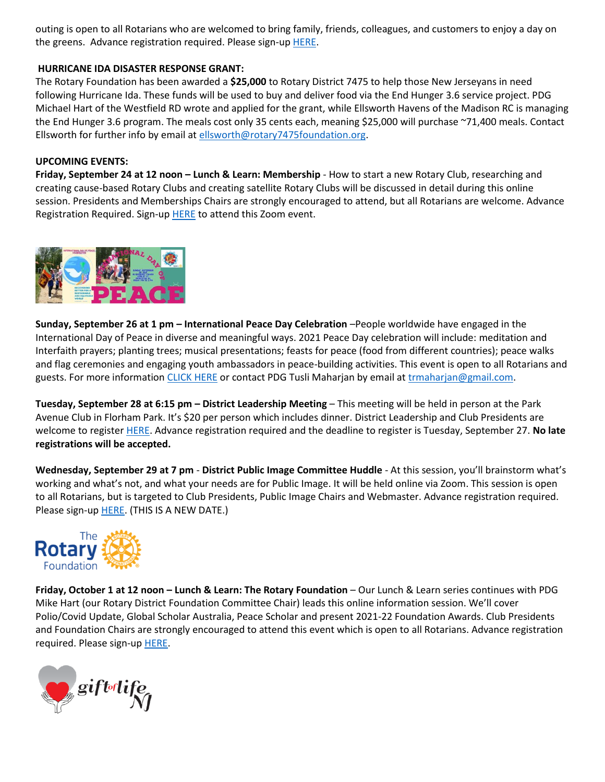outing is open to all Rotarians who are welcomed to bring family, friends, colleagues, and customers to enjoy a day on the greens. Advance registration required. Please sign-up **HERE**.

### **HURRICANE IDA DISASTER RESPONSE GRANT:**

The Rotary Foundation has been awarded a **\$25,000** to Rotary District 7475 to help those New Jerseyans in need following Hurricane Ida. These funds will be used to buy and deliver food via the End Hunger 3.6 service project. PDG Michael Hart of the Westfield RD wrote and applied for the grant, while Ellsworth Havens of the Madison RC is managing the End Hunger 3.6 program. The meals cost only 35 cents each, meaning \$25,000 will purchase ~71,400 meals. Contact Ellsworth for further info by email at [ellsworth@rotary7475foundation.org.](mailto:ellsworth@rotary7475foundation.org)

### **UPCOMING EVENTS:**

**Friday, September 24 at 12 noon – Lunch & Learn: Membership** - How to start a new Rotary Club, researching and creating cause-based Rotary Clubs and creating satellite Rotary Clubs will be discussed in detail during this online session. Presidents and Memberships Chairs are strongly encouraged to attend, but all Rotarians are welcome. Advance Registration Required. Sign-up [HERE](https://us02web.zoom.us/meeting/register/tZUtdu-rrD0tGNaS_JtQa4YCx5QDBR_oDsgh) to attend this Zoom event.



**Sunday, September 26 at 1 pm – International Peace Day Celebration** –People worldwide have engaged in the International Day of Peace in diverse and meaningful ways. 2021 Peace Day celebration will include: meditation and Interfaith prayers; planting trees; musical presentations; feasts for peace (food from different countries); peace walks and flag ceremonies and engaging youth ambassadors in peace-building activities. This event is open to all Rotarians and guests. For more information [CLICK HERE](https://www.dropbox.com/s/23tjle2i36xnpkq/peace21a.pdf?dl=0) or contact PDG Tusli Maharjan by email at [trmaharjan@gmail.com.](mailto:trmaharjan@gmail.com)

**Tuesday, September 28 at 6:15 pm – District Leadership Meeting** – This meeting will be held in person at the Park Avenue Club in Florham Park. It's \$20 per person which includes dinner. District Leadership and Club Presidents are welcome to register [HERE.](http://evite.me/DhpVtfwCaW) Advance registration required and the deadline to register is Tuesday, September 27. **No late registrations will be accepted.**

**Wednesday, September 29 at 7 pm** - **District Public Image Committee Huddle** - At this session, you'll brainstorm what's working and what's not, and what your needs are for Public Image. It will be held online via Zoom. This session is open to all Rotarians, but is targeted to Club Presidents, Public Image Chairs and Webmaster. Advance registration required. Please sign-up **HERE**. (THIS IS A NEW DATE.)



**Friday, October 1 at 12 noon – Lunch & Learn: The Rotary Foundation** – Our Lunch & Learn series continues with PDG Mike Hart (our Rotary District Foundation Committee Chair) leads this online information session. We'll cover Polio/Covid Update, Global Scholar Australia, Peace Scholar and present 2021-22 Foundation Awards. Club Presidents and Foundation Chairs are strongly encouraged to attend this event which is open to all Rotarians. Advance registration required. Please sign-up [HERE.](https://us02web.zoom.us/meeting/register/tZIpdO6tqDMuGtMg_lg7gUPZpYQ0Bh08ObhK)